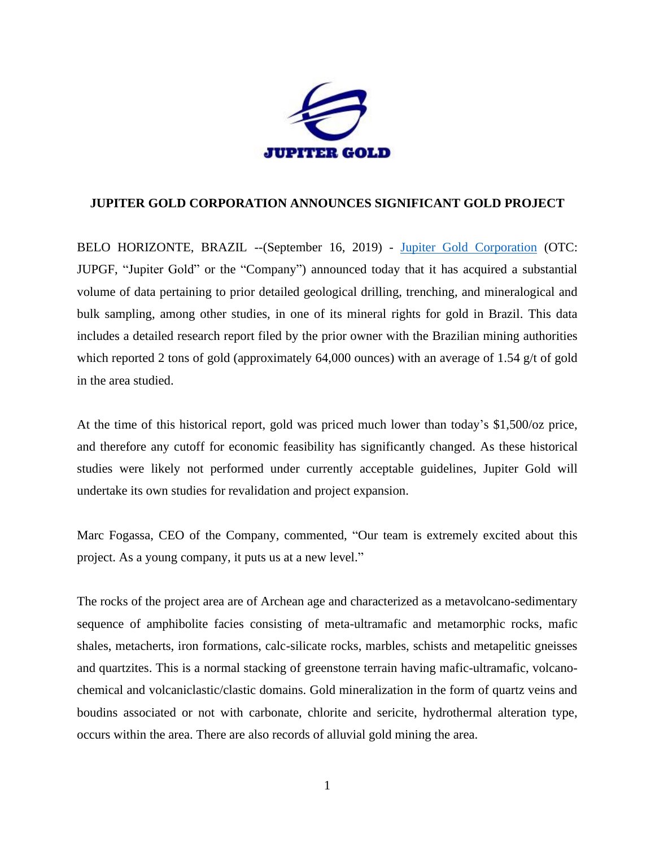

## **JUPITER GOLD CORPORATION ANNOUNCES SIGNIFICANT GOLD PROJECT**

BELO HORIZONTE, BRAZIL --(September 16, 2019) - [Jupiter Gold Corporation](http://www.jupitergoldcorp.com/) (OTC: JUPGF, "Jupiter Gold" or the "Company") announced today that it has acquired a substantial volume of data pertaining to prior detailed geological drilling, trenching, and mineralogical and bulk sampling, among other studies, in one of its mineral rights for gold in Brazil. This data includes a detailed research report filed by the prior owner with the Brazilian mining authorities which reported 2 tons of gold (approximately 64,000 ounces) with an average of 1.54 g/t of gold in the area studied.

At the time of this historical report, gold was priced much lower than today's \$1,500/oz price, and therefore any cutoff for economic feasibility has significantly changed. As these historical studies were likely not performed under currently acceptable guidelines, Jupiter Gold will undertake its own studies for revalidation and project expansion.

Marc Fogassa, CEO of the Company, commented, "Our team is extremely excited about this project. As a young company, it puts us at a new level."

The rocks of the project area are of Archean age and characterized as a metavolcano-sedimentary sequence of amphibolite facies consisting of meta-ultramafic and metamorphic rocks, mafic shales, metacherts, iron formations, calc-silicate rocks, marbles, schists and metapelitic gneisses and quartzites. This is a normal stacking of greenstone terrain having mafic-ultramafic, volcanochemical and volcaniclastic/clastic domains. Gold mineralization in the form of quartz veins and boudins associated or not with carbonate, chlorite and sericite, hydrothermal alteration type, occurs within the area. There are also records of alluvial gold mining the area.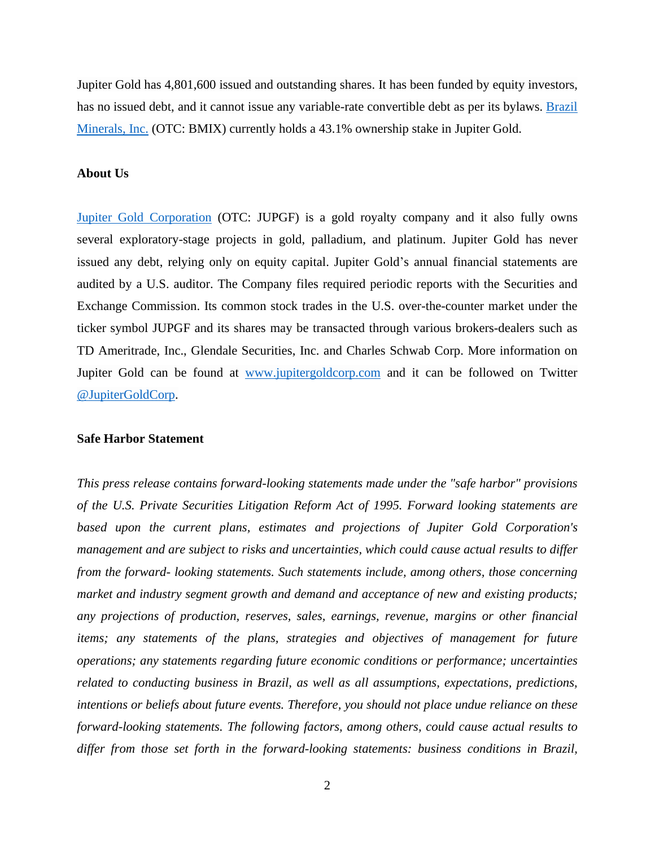Jupiter Gold has 4,801,600 issued and outstanding shares. It has been funded by equity investors, has no issued debt, and it cannot issue any variable-rate convertible debt as per its bylaws. [Brazil](http://www.twitter.com/BMIXstock)  [Minerals, Inc.](http://www.twitter.com/BMIXstock) (OTC: BMIX) currently holds a 43.1% ownership stake in Jupiter Gold.

## **About Us**

[Jupiter Gold Corporation](http://www.jupitergoldcorp.com/) (OTC: JUPGF) is a gold royalty company and it also fully owns several exploratory-stage projects in gold, palladium, and platinum. Jupiter Gold has never issued any debt, relying only on equity capital. Jupiter Gold's annual financial statements are audited by a U.S. auditor. The Company files required periodic reports with the Securities and Exchange Commission. Its common stock trades in the U.S. over-the-counter market under the ticker symbol JUPGF and its shares may be transacted through various brokers-dealers such as TD Ameritrade, Inc., Glendale Securities, Inc. and Charles Schwab Corp. More information on Jupiter Gold can be found at [www.jupitergoldcorp.com](http://www.jupitergoldcorp.com/) and it can be followed on Twitter [@JupiterGoldCorp.](http://www.twitter.com/JupiterGoldCorp)

## **Safe Harbor Statement**

*This press release contains forward-looking statements made under the "safe harbor" provisions of the U.S. Private Securities Litigation Reform Act of 1995. Forward looking statements are based upon the current plans, estimates and projections of Jupiter Gold Corporation's management and are subject to risks and uncertainties, which could cause actual results to differ from the forward- looking statements. Such statements include, among others, those concerning market and industry segment growth and demand and acceptance of new and existing products; any projections of production, reserves, sales, earnings, revenue, margins or other financial items; any statements of the plans, strategies and objectives of management for future operations; any statements regarding future economic conditions or performance; uncertainties related to conducting business in Brazil, as well as all assumptions, expectations, predictions, intentions or beliefs about future events. Therefore, you should not place undue reliance on these forward-looking statements. The following factors, among others, could cause actual results to differ from those set forth in the forward-looking statements: business conditions in Brazil,*